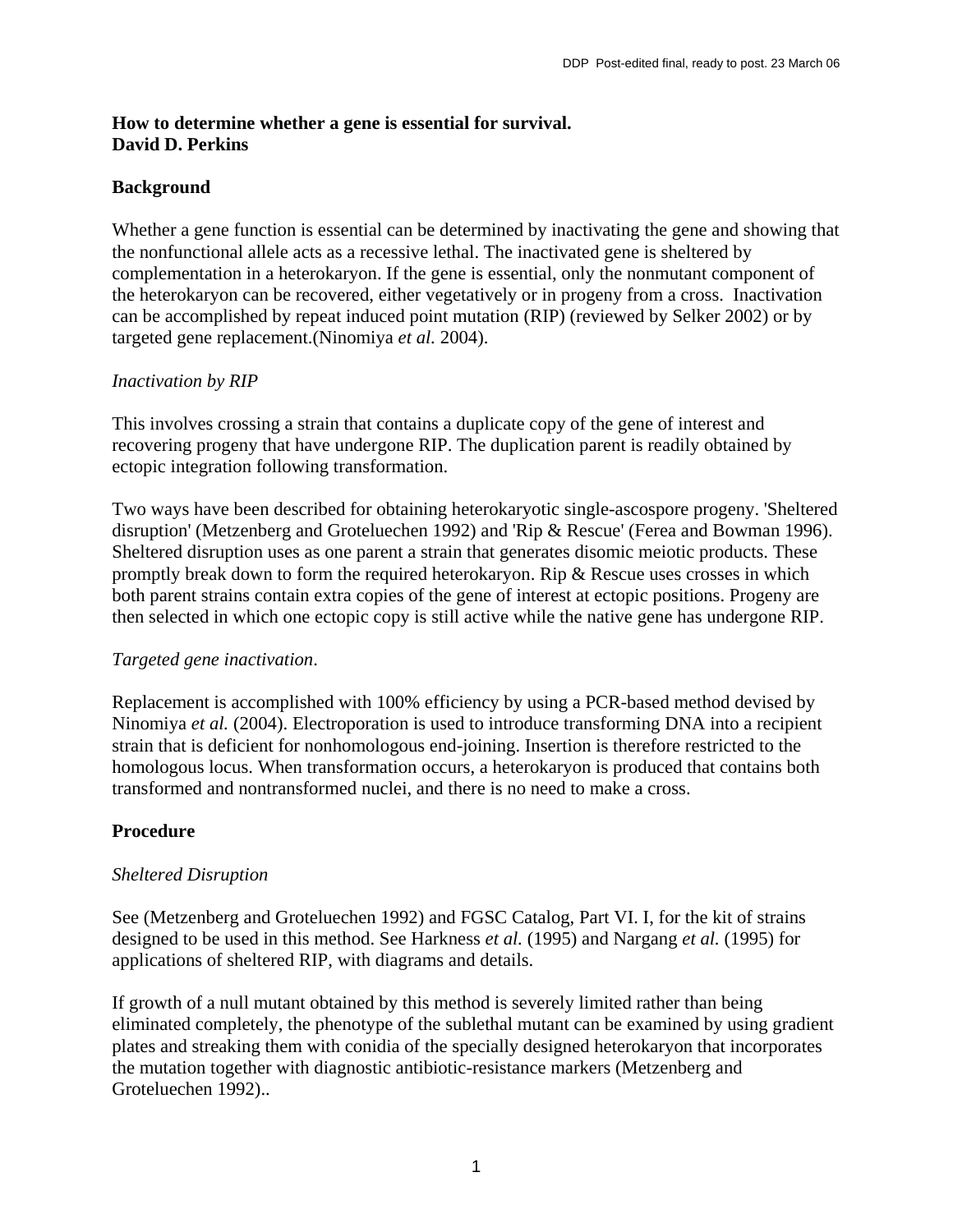## **How to determine whether a gene is essential for survival. David D. Perkins**

## **Background**

Whether a gene function is essential can be determined by inactivating the gene and showing that the nonfunctional allele acts as a recessive lethal. The inactivated gene is sheltered by complementation in a heterokaryon. If the gene is essential, only the nonmutant component of the heterokaryon can be recovered, either vegetatively or in progeny from a cross. Inactivation can be accomplished by repeat induced point mutation (RIP) (reviewed by Selker 2002) or by targeted gene replacement.(Ninomiya *et al.* 2004).

## *Inactivation by RIP*

This involves crossing a strain that contains a duplicate copy of the gene of interest and recovering progeny that have undergone RIP. The duplication parent is readily obtained by ectopic integration following transformation.

Two ways have been described for obtaining heterokaryotic single-ascospore progeny. 'Sheltered disruption' (Metzenberg and Groteluechen 1992) and 'Rip & Rescue' (Ferea and Bowman 1996). Sheltered disruption uses as one parent a strain that generates disomic meiotic products. These promptly break down to form the required heterokaryon. Rip & Rescue uses crosses in which both parent strains contain extra copies of the gene of interest at ectopic positions. Progeny are then selected in which one ectopic copy is still active while the native gene has undergone RIP.

### *Targeted gene inactivation*.

Replacement is accomplished with 100% efficiency by using a PCR-based method devised by Ninomiya *et al.* (2004). Electroporation is used to introduce transforming DNA into a recipient strain that is deficient for nonhomologous end-joining. Insertion is therefore restricted to the homologous locus. When transformation occurs, a heterokaryon is produced that contains both transformed and nontransformed nuclei, and there is no need to make a cross.

# **Procedure**

### *Sheltered Disruption*

See (Metzenberg and Groteluechen 1992) and FGSC Catalog, Part VI. I, for the kit of strains designed to be used in this method. See Harkness *et al.* (1995) and Nargang *et al.* (1995) for applications of sheltered RIP, with diagrams and details.

If growth of a null mutant obtained by this method is severely limited rather than being eliminated completely, the phenotype of the sublethal mutant can be examined by using gradient plates and streaking them with conidia of the specially designed heterokaryon that incorporates the mutation together with diagnostic antibiotic-resistance markers (Metzenberg and Groteluechen 1992)..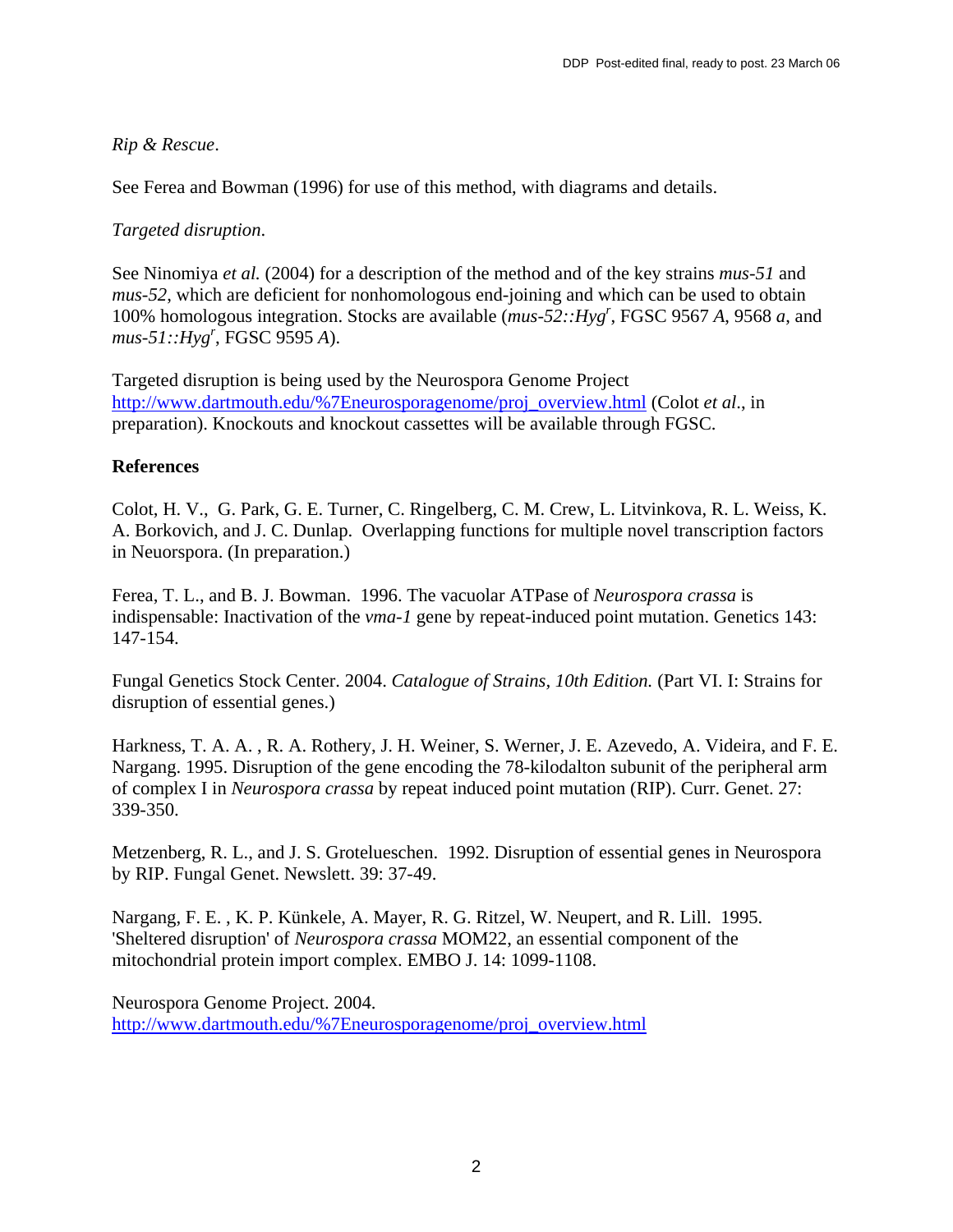### *Rip & Rescue*.

See Ferea and Bowman (1996) for use of this method, with diagrams and details.

#### *Targeted disruption*.

See Ninomiya *et al.* (2004) for a description of the method and of the key strains *mus-51* and *mus-52*, which are deficient for nonhomologous end-joining and which can be used to obtain 100% homologous integration. Stocks are available (*mus-52::Hygr* , FGSC 9567 *A*, 9568 *a*, and *mus-51::Hyg<sup>r</sup>* , FGSC 9595 *A*).

Targeted disruption is being used by the Neurospora Genome Project [http://www.dartmouth.edu/%7Eneurosporagenome/proj\\_overview.html](http://www.dartmouth.edu/%7Eneurosporagenome/proj_overview.html) (Colot *et al*., in preparation). Knockouts and knockout cassettes will be available through FGSC.

### **References**

Colot, H. V., G. Park, G. E. Turner, C. Ringelberg, C. M. Crew, L. Litvinkova, R. L. Weiss, K. A. Borkovich, and J. C. Dunlap. Overlapping functions for multiple novel transcription factors in Neuorspora. (In preparation.)

Ferea, T. L., and B. J. Bowman. 1996. The vacuolar ATPase of *Neurospora crassa* is indispensable: Inactivation of the *vma-1* gene by repeat-induced point mutation. Genetics 143: 147-154.

Fungal Genetics Stock Center. 2004. *Catalogue of Strains, 10th Edition.* (Part VI. I: Strains for disruption of essential genes.)

Harkness, T. A. A. , R. A. Rothery, J. H. Weiner, S. Werner, J. E. Azevedo, A. Videira, and F. E. Nargang. 1995. Disruption of the gene encoding the 78-kilodalton subunit of the peripheral arm of complex I in *Neurospora crassa* by repeat induced point mutation (RIP). Curr. Genet. 27: 339-350.

Metzenberg, R. L., and J. S. Grotelueschen. 1992. Disruption of essential genes in Neurospora by RIP. Fungal Genet. Newslett. 39: 37-49.

Nargang, F. E. , K. P. Künkele, A. Mayer, R. G. Ritzel, W. Neupert, and R. Lill. 1995. 'Sheltered disruption' of *Neurospora crassa* MOM22, an essential component of the mitochondrial protein import complex. EMBO J. 14: 1099-1108.

Neurospora Genome Project. 2004. [http://www.dartmouth.edu/%7Eneurosporagenome/proj\\_overview.html](http://www.dartmouth.edu/%7Eneurosporagenome/proj_overview.html)